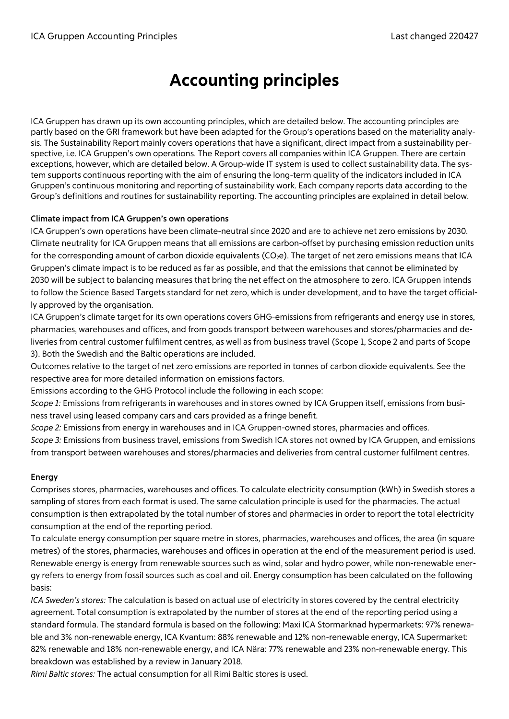# Accounting principles

ICA Gruppen has drawn up its own accounting principles, which are detailed below. The accounting principles are partly based on the GRI framework but have been adapted for the Group's operations based on the materiality analysis. The Sustainability Report mainly covers operations that have a significant, direct impact from a sustainability perspective, i.e. ICA Gruppen's own operations. The Report covers all companies within ICA Gruppen. There are certain exceptions, however, which are detailed below. A Group-wide IT system is used to collect sustainability data. The system supports continuous reporting with the aim of ensuring the long-term quality of the indicators included in ICA Gruppen's continuous monitoring and reporting of sustainability work. Each company reports data according to the Group's definitions and routines for sustainability reporting. The accounting principles are explained in detail below.

# **Climate impact from ICA Gruppen's own operations**

ICA Gruppen's own operations have been climate-neutral since 2020 and are to achieve net zero emissions by 2030. Climate neutrality for ICA Gruppen means that all emissions are carbon-offset by purchasing emission reduction units for the corresponding amount of carbon dioxide equivalents ( $CO<sub>2</sub>e$ ). The target of net zero emissions means that ICA Gruppen's climate impact is to be reduced as far as possible, and that the emissions that cannot be eliminated by 2030 will be subject to balancing measures that bring the net effect on the atmosphere to zero. ICA Gruppen intends to follow the Science Based Targets standard for net zero, which is under development, and to have the target officially approved by the organisation.

ICA Gruppen's climate target for its own operations covers GHG-emissions from refrigerants and energy use in stores, pharmacies, warehouses and offices, and from goods transport between warehouses and stores/pharmacies and deliveries from central customer fulfilment centres, as well as from business travel (Scope 1, Scope 2 and parts of Scope 3). Both the Swedish and the Baltic operations are included.

Outcomes relative to the target of net zero emissions are reported in tonnes of carbon dioxide equivalents. See the respective area for more detailed information on emissions factors.

Emissions according to the GHG Protocol include the following in each scope:

*Scope 1:* Emissions from refrigerants in warehouses and in stores owned by ICA Gruppen itself, emissions from business travel using leased company cars and cars provided as a fringe benefit.

*Scope 2:* Emissions from energy in warehouses and in ICA Gruppen-owned stores, pharmacies and offices.

*Scope 3:* Emissions from business travel, emissions from Swedish ICA stores not owned by ICA Gruppen, and emissions from transport between warehouses and stores/pharmacies and deliveries from central customer fulfilment centres.

## **Energy**

Comprises stores, pharmacies, warehouses and offices. To calculate electricity consumption (kWh) in Swedish stores a sampling of stores from each format is used. The same calculation principle is used for the pharmacies. The actual consumption is then extrapolated by the total number of stores and pharmacies in order to report the total electricity consumption at the end of the reporting period.

To calculate energy consumption per square metre in stores, pharmacies, warehouses and offices, the area (in square metres) of the stores, pharmacies, warehouses and offices in operation at the end of the measurement period is used. Renewable energy is energy from renewable sources such as wind, solar and hydro power, while non-renewable energy refers to energy from fossil sources such as coal and oil. Energy consumption has been calculated on the following basis:

*ICA Sweden's stores:* The calculation is based on actual use of electricity in stores covered by the central electricity agreement. Total consumption is extrapolated by the number of stores at the end of the reporting period using a standard formula. The standard formula is based on the following: Maxi ICA Stormarknad hypermarkets: 97% renewable and 3% non-renewable energy, ICA Kvantum: 88% renewable and 12% non-renewable energy, ICA Supermarket: 82% renewable and 18% non-renewable energy, and ICA Nära: 77% renewable and 23% non-renewable energy. This breakdown was established by a review in January 2018.

*Rimi Baltic stores:* The actual consumption for all Rimi Baltic stores is used.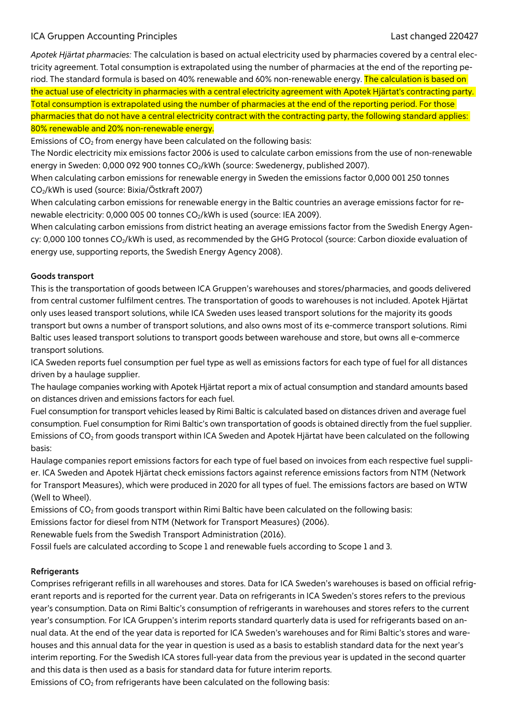# ICA Gruppen Accounting Principles Last changed 220427

*Apotek Hjärtat pharmacies:* The calculation is based on actual electricity used by pharmacies covered by a central electricity agreement. Total consumption is extrapolated using the number of pharmacies at the end of the reporting period. The standard formula is based on 40% renewable and 60% non-renewable energy. The calculation is based on the actual use of electricity in pharmacies with a central electricity agreement with Apotek Hjärtat's contracting party. Total consumption is extrapolated using the number of pharmacies at the end of the reporting period. For those pharmacies that do not have a central electricity contract with the contracting party, the following standard applies:

# 80% renewable and 20% non-renewable energy.

Emissions of  $CO<sub>2</sub>$  from energy have been calculated on the following basis:

The Nordic electricity mix emissions factor 2006 is used to calculate carbon emissions from the use of non-renewable energy in Sweden: 0,000 092 900 tonnes CO<sub>2</sub>/kWh (source: Swedenergy, published 2007).

When calculating carbon emissions for renewable energy in Sweden the emissions factor 0,000 001 250 tonnes CO2/kWh is used (source: Bixia/Östkraft 2007)

When calculating carbon emissions for renewable energy in the Baltic countries an average emissions factor for renewable electricity: 0,000 005 00 tonnes CO<sub>2</sub>/kWh is used (source: IEA 2009).

When calculating carbon emissions from district heating an average emissions factor from the Swedish Energy Agency: 0,000 100 tonnes CO<sub>2</sub>/kWh is used, as recommended by the GHG Protocol (source: Carbon dioxide evaluation of energy use, supporting reports, the Swedish Energy Agency 2008).

#### **Goods transport**

This is the transportation of goods between ICA Gruppen's warehouses and stores/pharmacies, and goods delivered from central customer fulfilment centres. The transportation of goods to warehouses is not included. Apotek Hjärtat only uses leased transport solutions, while ICA Sweden uses leased transport solutions for the majority its goods transport but owns a number of transport solutions, and also owns most of its e-commerce transport solutions. Rimi Baltic uses leased transport solutions to transport goods between warehouse and store, but owns all e-commerce transport solutions.

ICA Sweden reports fuel consumption per fuel type as well as emissions factors for each type of fuel for all distances driven by a haulage supplier.

The haulage companies working with Apotek Hjärtat report a mix of actual consumption and standard amounts based on distances driven and emissions factors for each fuel.

Fuel consumption for transport vehicles leased by Rimi Baltic is calculated based on distances driven and average fuel consumption. Fuel consumption for Rimi Baltic's own transportation of goods is obtained directly from the fuel supplier. Emissions of CO2 from goods transport within ICA Sweden and Apotek Hjärtat have been calculated on the following basis:

Haulage companies report emissions factors for each type of fuel based on invoices from each respective fuel supplier. ICA Sweden and Apotek Hjärtat check emissions factors against reference emissions factors from NTM (Network for Transport Measures), which were produced in 2020 for all types of fuel. The emissions factors are based on WTW (Well to Wheel).

Emissions of CO<sub>2</sub> from goods transport within Rimi Baltic have been calculated on the following basis:

Emissions factor for diesel from NTM (Network for Transport Measures) (2006).

Renewable fuels from the Swedish Transport Administration (2016).

Fossil fuels are calculated according to Scope 1 and renewable fuels according to Scope 1 and 3.

#### **Refrigerants**

Comprises refrigerant refills in all warehouses and stores. Data for ICA Sweden's warehouses is based on official refrigerant reports and is reported for the current year. Data on refrigerants in ICA Sweden's stores refers to the previous year's consumption. Data on Rimi Baltic's consumption of refrigerants in warehouses and stores refers to the current year's consumption. For ICA Gruppen's interim reports standard quarterly data is used for refrigerants based on annual data. At the end of the year data is reported for ICA Sweden's warehouses and for Rimi Baltic's stores and warehouses and this annual data for the year in question is used as a basis to establish standard data for the next year's interim reporting. For the Swedish ICA stores full-year data from the previous year is updated in the second quarter and this data is then used as a basis for standard data for future interim reports.

Emissions of  $CO<sub>2</sub>$  from refrigerants have been calculated on the following basis: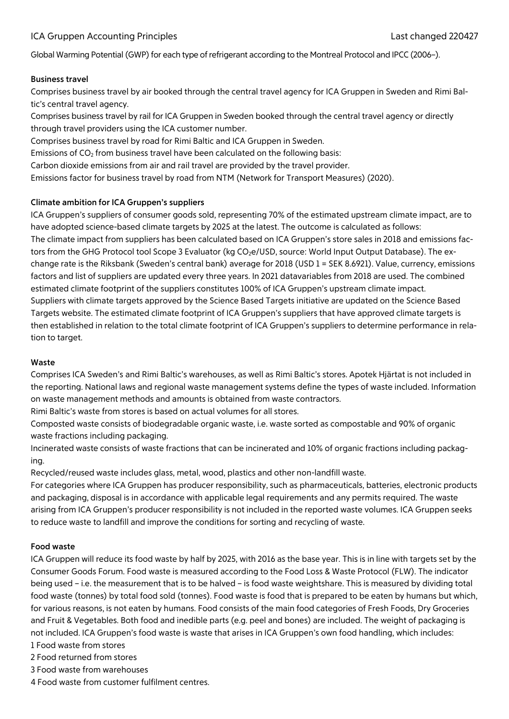# ICA Gruppen Accounting Principles Last changed 220427

Global Warming Potential (GWP) for each type of refrigerant according to the Montreal Protocol and IPCC (2006–).

#### **Business travel**

Comprises business travel by air booked through the central travel agency for ICA Gruppen in Sweden and Rimi Baltic's central travel agency.

Comprises business travel by rail for ICA Gruppen in Sweden booked through the central travel agency or directly through travel providers using the ICA customer number.

Comprises business travel by road for Rimi Baltic and ICA Gruppen in Sweden.

Emissions of  $CO<sub>2</sub>$  from business travel have been calculated on the following basis:

Carbon dioxide emissions from air and rail travel are provided by the travel provider.

Emissions factor for business travel by road from NTM (Network for Transport Measures) (2020).

#### **Climate ambition for ICA Gruppen's suppliers**

ICA Gruppen's suppliers of consumer goods sold, representing 70% of the estimated upstream climate impact, are to have adopted science-based climate targets by 2025 at the latest. The outcome is calculated as follows: The climate impact from suppliers has been calculated based on ICA Gruppen's store sales in 2018 and emissions factors from the GHG Protocol tool Scope 3 Evaluator (kg CO<sub>2</sub>e/USD, source: World Input Output Database). The exchange rate is the Riksbank (Sweden's central bank) average for 2018 (USD 1 = SEK 8.6921). Value, currency, emissions factors and list of suppliers are updated every three years. In 2021 datavariables from 2018 are used. The combined estimated climate footprint of the suppliers constitutes 100% of ICA Gruppen's upstream climate impact. Suppliers with climate targets approved by the Science Based Targets initiative are updated on the Science Based Targets website. The estimated climate footprint of ICA Gruppen's suppliers that have approved climate targets is then established in relation to the total climate footprint of ICA Gruppen's suppliers to determine performance in relation to target.

### **Waste**

Comprises ICA Sweden's and Rimi Baltic's warehouses, as well as Rimi Baltic's stores. Apotek Hjärtat is not included in the reporting. National laws and regional waste management systems define the types of waste included. Information on waste management methods and amounts is obtained from waste contractors.

Rimi Baltic's waste from stores is based on actual volumes for all stores.

Composted waste consists of biodegradable organic waste, i.e. waste sorted as compostable and 90% of organic waste fractions including packaging.

Incinerated waste consists of waste fractions that can be incinerated and 10% of organic fractions including packaging.

Recycled/reused waste includes glass, metal, wood, plastics and other non-landfill waste.

For categories where ICA Gruppen has producer responsibility, such as pharmaceuticals, batteries, electronic products and packaging, disposal is in accordance with applicable legal requirements and any permits required. The waste arising from ICA Gruppen's producer responsibility is not included in the reported waste volumes. ICA Gruppen seeks to reduce waste to landfill and improve the conditions for sorting and recycling of waste.

## **Food waste**

ICA Gruppen will reduce its food waste by half by 2025, with 2016 as the base year. This is in line with targets set by the Consumer Goods Forum. Food waste is measured according to the Food Loss & Waste Protocol (FLW). The indicator being used – i.e. the measurement that is to be halved – is food waste weightshare. This is measured by dividing total food waste (tonnes) by total food sold (tonnes). Food waste is food that is prepared to be eaten by humans but which, for various reasons, is not eaten by humans. Food consists of the main food categories of Fresh Foods, Dry Groceries and Fruit & Vegetables. Both food and inedible parts (e.g. peel and bones) are included. The weight of packaging is not included. ICA Gruppen's food waste is waste that arises in ICA Gruppen's own food handling, which includes: 1 Food waste from stores

2 Food returned from stores

3 Food waste from warehouses

4 Food waste from customer fulfilment centres.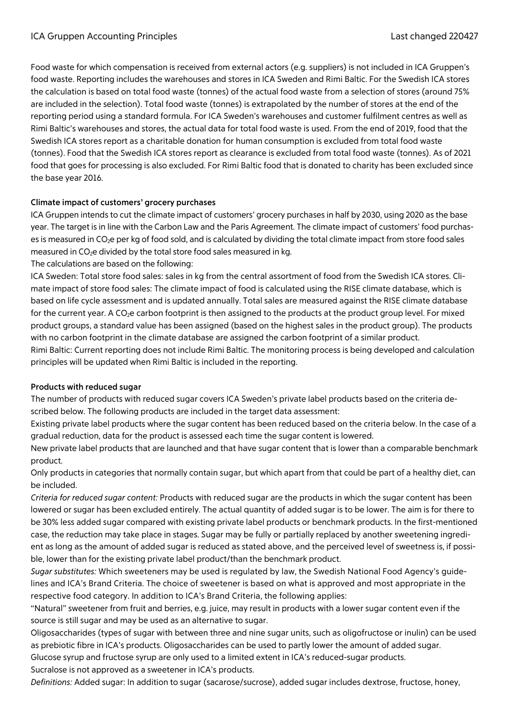Food waste for which compensation is received from external actors (e.g. suppliers) is not included in ICA Gruppen's food waste. Reporting includes the warehouses and stores in ICA Sweden and Rimi Baltic. For the Swedish ICA stores the calculation is based on total food waste (tonnes) of the actual food waste from a selection of stores (around 75% are included in the selection). Total food waste (tonnes) is extrapolated by the number of stores at the end of the reporting period using a standard formula. For ICA Sweden's warehouses and customer fulfilment centres as well as Rimi Baltic's warehouses and stores, the actual data for total food waste is used. From the end of 2019, food that the Swedish ICA stores report as a charitable donation for human consumption is excluded from total food waste (tonnes). Food that the Swedish ICA stores report as clearance is excluded from total food waste (tonnes). As of 2021 food that goes for processing is also excluded. For Rimi Baltic food that is donated to charity has been excluded since the base year 2016.

# **Climate impact of customers' grocery purchases**

ICA Gruppen intends to cut the climate impact of customers' grocery purchases in half by 2030, using 2020 as the base year. The target is in line with the Carbon Law and the Paris Agreement. The climate impact of customers' food purchases is measured in CO<sub>2</sub>e per kg of food sold, and is calculated by dividing the total climate impact from store food sales measured in  $CO<sub>2</sub>e$  divided by the total store food sales measured in kg.

The calculations are based on the following:

ICA Sweden: Total store food sales: sales in kg from the central assortment of food from the Swedish ICA stores. Climate impact of store food sales: The climate impact of food is calculated using the RISE climate database, which is based on life cycle assessment and is updated annually. Total sales are measured against the RISE climate database for the current year. A CO<sub>2</sub>e carbon footprint is then assigned to the products at the product group level. For mixed product groups, a standard value has been assigned (based on the highest sales in the product group). The products with no carbon footprint in the climate database are assigned the carbon footprint of a similar product.

Rimi Baltic: Current reporting does not include Rimi Baltic. The monitoring process is being developed and calculation principles will be updated when Rimi Baltic is included in the reporting.

## **Products with reduced sugar**

The number of products with reduced sugar covers ICA Sweden's private label products based on the criteria described below. The following products are included in the target data assessment:

Existing private label products where the sugar content has been reduced based on the criteria below. In the case of a gradual reduction, data for the product is assessed each time the sugar content is lowered.

New private label products that are launched and that have sugar content that is lower than a comparable benchmark product.

Only products in categories that normally contain sugar, but which apart from that could be part of a healthy diet, can be included.

*Criteria for reduced sugar content:* Products with reduced sugar are the products in which the sugar content has been lowered or sugar has been excluded entirely. The actual quantity of added sugar is to be lower. The aim is for there to be 30% less added sugar compared with existing private label products or benchmark products. In the first-mentioned case, the reduction may take place in stages. Sugar may be fully or partially replaced by another sweetening ingredient as long as the amount of added sugar is reduced as stated above, and the perceived level of sweetness is, if possible, lower than for the existing private label product/than the benchmark product.

*Sugar substitutes:* Which sweeteners may be used is regulated by law, the Swedish National Food Agency's guidelines and ICA's Brand Criteria. The choice of sweetener is based on what is approved and most appropriate in the respective food category. In addition to ICA's Brand Criteria, the following applies:

"Natural" sweetener from fruit and berries, e.g. juice, may result in products with a lower sugar content even if the source is still sugar and may be used as an alternative to sugar.

Oligosaccharides (types of sugar with between three and nine sugar units, such as oligofructose or inulin) can be used as prebiotic fibre in ICA's products. Oligosaccharides can be used to partly lower the amount of added sugar.

Glucose syrup and fructose syrup are only used to a limited extent in ICA's reduced-sugar products. Sucralose is not approved as a sweetener in ICA's products.

*Definitions:* Added sugar: In addition to sugar (sacarose/sucrose), added sugar includes dextrose, fructose, honey,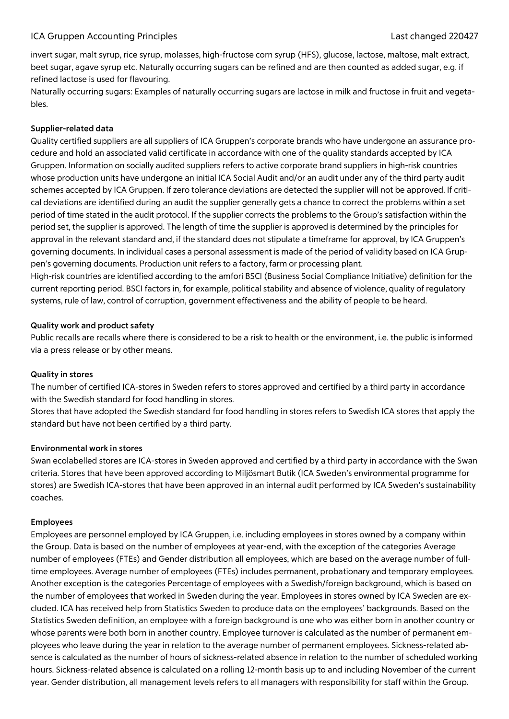## ICA Gruppen Accounting Principles Last changed 220427

invert sugar, malt syrup, rice syrup, molasses, high-fructose corn syrup (HFS), glucose, lactose, maltose, malt extract, beet sugar, agave syrup etc. Naturally occurring sugars can be refined and are then counted as added sugar, e.g. if refined lactose is used for flavouring.

Naturally occurring sugars: Examples of naturally occurring sugars are lactose in milk and fructose in fruit and vegetables.

#### **Supplier-related data**

Quality certified suppliers are all suppliers of ICA Gruppen's corporate brands who have undergone an assurance procedure and hold an associated valid certificate in accordance with one of the quality standards accepted by ICA Gruppen. Information on socially audited suppliers refers to active corporate brand suppliers in high-risk countries whose production units have undergone an initial ICA Social Audit and/or an audit under any of the third party audit schemes accepted by ICA Gruppen. If zero tolerance deviations are detected the supplier will not be approved. If critical deviations are identified during an audit the supplier generally gets a chance to correct the problems within a set period of time stated in the audit protocol. If the supplier corrects the problems to the Group's satisfaction within the period set, the supplier is approved. The length of time the supplier is approved is determined by the principles for approval in the relevant standard and, if the standard does not stipulate a timeframe for approval, by ICA Gruppen's governing documents. In individual cases a personal assessment is made of the period of validity based on ICA Gruppen's governing documents. Production unit refers to a factory, farm or processing plant.

High-risk countries are identified according to the amfori BSCI (Business Social Compliance Initiative) definition for the current reporting period. BSCI factors in, for example, political stability and absence of violence, quality of regulatory systems, rule of law, control of corruption, government effectiveness and the ability of people to be heard.

#### **Quality work and product safety**

Public recalls are recalls where there is considered to be a risk to health or the environment, i.e. the public is informed via a press release or by other means.

#### **Quality in stores**

The number of certified ICA-stores in Sweden refers to stores approved and certified by a third party in accordance with the Swedish standard for food handling in stores.

Stores that have adopted the Swedish standard for food handling in stores refers to Swedish ICA stores that apply the standard but have not been certified by a third party.

#### **Environmental work in stores**

Swan ecolabelled stores are ICA-stores in Sweden approved and certified by a third party in accordance with the Swan criteria. Stores that have been approved according to Miljösmart Butik (ICA Sweden's environmental programme for stores) are Swedish ICA-stores that have been approved in an internal audit performed by ICA Sweden's sustainability coaches.

#### **Employees**

Employees are personnel employed by ICA Gruppen, i.e. including employees in stores owned by a company within the Group. Data is based on the number of employees at year-end, with the exception of the categories Average number of employees (FTEs) and Gender distribution all employees, which are based on the average number of fulltime employees. Average number of employees (FTEs) includes permanent, probationary and temporary employees. Another exception is the categories Percentage of employees with a Swedish/foreign background, which is based on the number of employees that worked in Sweden during the year. Employees in stores owned by ICA Sweden are excluded. ICA has received help from Statistics Sweden to produce data on the employees' backgrounds. Based on the Statistics Sweden definition, an employee with a foreign background is one who was either born in another country or whose parents were both born in another country. Employee turnover is calculated as the number of permanent employees who leave during the year in relation to the average number of permanent employees. Sickness-related absence is calculated as the number of hours of sickness-related absence in relation to the number of scheduled working hours. Sickness-related absence is calculated on a rolling 12-month basis up to and including November of the current year. Gender distribution, all management levels refers to all managers with responsibility for staff within the Group.